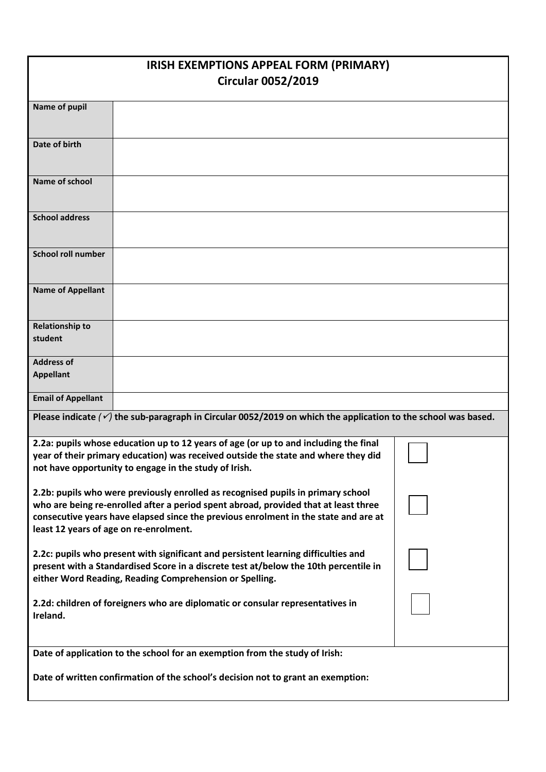| IRISH EXEMPTIONS APPEAL FORM (PRIMARY)                                                                                                                                     |                                                                                    |  |  |
|----------------------------------------------------------------------------------------------------------------------------------------------------------------------------|------------------------------------------------------------------------------------|--|--|
| <b>Circular 0052/2019</b>                                                                                                                                                  |                                                                                    |  |  |
| <b>Name of pupil</b>                                                                                                                                                       |                                                                                    |  |  |
|                                                                                                                                                                            |                                                                                    |  |  |
| Date of birth                                                                                                                                                              |                                                                                    |  |  |
|                                                                                                                                                                            |                                                                                    |  |  |
| Name of school                                                                                                                                                             |                                                                                    |  |  |
|                                                                                                                                                                            |                                                                                    |  |  |
| <b>School address</b>                                                                                                                                                      |                                                                                    |  |  |
|                                                                                                                                                                            |                                                                                    |  |  |
| <b>School roll number</b>                                                                                                                                                  |                                                                                    |  |  |
|                                                                                                                                                                            |                                                                                    |  |  |
| <b>Name of Appellant</b>                                                                                                                                                   |                                                                                    |  |  |
| <b>Relationship to</b>                                                                                                                                                     |                                                                                    |  |  |
| student                                                                                                                                                                    |                                                                                    |  |  |
| <b>Address of</b>                                                                                                                                                          |                                                                                    |  |  |
| <b>Appellant</b>                                                                                                                                                           |                                                                                    |  |  |
| <b>Email of Appellant</b>                                                                                                                                                  |                                                                                    |  |  |
| Please indicate $(\check{\nu})$ the sub-paragraph in Circular 0052/2019 on which the application to the school was based.                                                  |                                                                                    |  |  |
| 2.2a: pupils whose education up to 12 years of age (or up to and including the final                                                                                       |                                                                                    |  |  |
|                                                                                                                                                                            | year of their primary education) was received outside the state and where they did |  |  |
|                                                                                                                                                                            | not have opportunity to engage in the study of Irish.                              |  |  |
|                                                                                                                                                                            | 2.2b: pupils who were previously enrolled as recognised pupils in primary school   |  |  |
| who are being re-enrolled after a period spent abroad, provided that at least three<br>consecutive years have elapsed since the previous enrolment in the state and are at |                                                                                    |  |  |
|                                                                                                                                                                            | least 12 years of age on re-enrolment.                                             |  |  |
| 2.2c: pupils who present with significant and persistent learning difficulties and                                                                                         |                                                                                    |  |  |
| present with a Standardised Score in a discrete test at/below the 10th percentile in                                                                                       |                                                                                    |  |  |
|                                                                                                                                                                            | either Word Reading, Reading Comprehension or Spelling.                            |  |  |
| 2.2d: children of foreigners who are diplomatic or consular representatives in<br>Ireland.                                                                                 |                                                                                    |  |  |
|                                                                                                                                                                            |                                                                                    |  |  |
| Date of application to the school for an exemption from the study of Irish:                                                                                                |                                                                                    |  |  |
|                                                                                                                                                                            |                                                                                    |  |  |
| Date of written confirmation of the school's decision not to grant an exemption:                                                                                           |                                                                                    |  |  |
|                                                                                                                                                                            |                                                                                    |  |  |